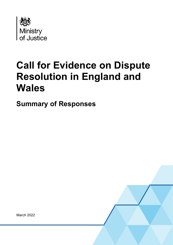

# **Call for Evidence on Dispute Resolution in England and Wales**

**Summary of Responses**

March 2022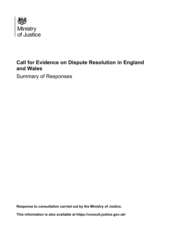

## **Call for Evidence on Dispute Resolution in England and Wales**

Summary of Responses

**Response to consultation carried out by the Ministry of Justice.**

**This information is also available at<https://consult.justice.gov.uk/>**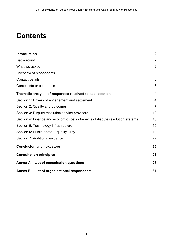## **Contents**

| <b>Introduction</b>                                                            | $\overline{2}$          |
|--------------------------------------------------------------------------------|-------------------------|
| Background                                                                     | $\overline{2}$          |
| What we asked                                                                  | $\overline{2}$          |
| Overview of respondents                                                        | 3                       |
| <b>Contact details</b>                                                         | 3                       |
| <b>Complaints or comments</b>                                                  | 3                       |
| Thematic analysis of responses received to each section                        | $\overline{\mathbf{4}}$ |
| Section 1: Drivers of engagement and settlement                                | $\overline{4}$          |
| Section 2: Quality and outcomes                                                | $\overline{7}$          |
| Section 3: Dispute resolution service providers                                | 10                      |
| Section 4: Finance and economic costs / benefits of dispute resolution systems | 13                      |
| Section 5: Technology infrastructure                                           | 15                      |
| Section 6: Public Sector Equality Duty                                         | 19                      |
| Section 7: Additional evidence                                                 | 22                      |
| <b>Conclusion and next steps</b>                                               | 25                      |
| <b>Consultation principles</b>                                                 | 26                      |
| Annex A - List of consultation questions                                       | 27                      |
| Annex B - List of organisational respondents                                   | 31                      |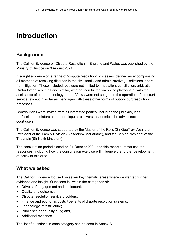## <span id="page-3-0"></span>**Introduction**

## <span id="page-3-1"></span>**Background**

The Call for Evidence on Dispute Resolution in England and Wales was published by the Ministry of Justice on 3 August 2021.

It sought evidence on a range of "dispute resolution" processes, defined as encompassing all methods of resolving disputes in the civil, family and administrative jurisdictions, apart from litigation. These included, but were not limited to, mediation, conciliation, arbitration, Ombudsmen schemes and similar, whether conducted via online platforms or with the assistance of other technology or not. Views were not sought on the operation of the court service, except in so far as it engages with these other forms of out-of-court resolution processes.

Contributions were invited from all interested parties, including the judiciary, legal profession, mediators and other dispute resolvers, academics, the advice sector, and court users.

The Call for Evidence was supported by the Master of the Rolls (Sir Geoffrey Vos), the President of the Family Division (Sir Andrew McFarlane), and the Senior President of the Tribunals (Sir Keith Lindblom).

The consultation period closed on 31 October 2021 and this report summarises the responses, including how the consultation exercise will influence the further development of policy in this area.

### <span id="page-3-2"></span>**What we asked**

The Call for Evidence focused on seven key thematic areas where we wanted further evidence and insight. Questions fell within the categories of:

- Drivers of engagement and settlement;
- Quality and outcomes;
- Dispute resolution service providers;
- Finance and economic costs / benefits of dispute resolution systems;
- Technology infrastructure;
- Public sector equality duty; and,
- Additional evidence.

The list of questions in each category can be seen in Annex A.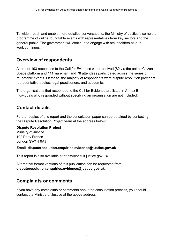To widen reach and enable more detailed conversations, the Ministry of Justice also held a programme of online roundtable events with representatives from key sectors and the general public. The government will continue to engage with stakeholders as our work continues

## <span id="page-4-0"></span>**Overview of respondents**

A total of 193 responses to the Call for Evidence were received (82 via the online Citizen Space platform and 111 via email) and 78 attendees participated across the series of roundtable events. Of these, the majority of respondents were dispute resolution providers, representative bodies, legal practitioners, and academics.

The organisations that responded to the Call for Evidence are listed in Annex B. Individuals who responded without specifying an organisation are not included.

## <span id="page-4-1"></span>**Contact details**

Further copies of this report and the consultation paper can be obtained by contacting the Dispute Resolution Project team at the address below:

#### **Dispute Resolution Project**

Ministry of Justice 102 Petty France London SW1H 9AJ

#### **Email**: **[disputeresolution.enquiries.evidence@justice.gov.uk](mailto:disputeresolution.enquiries.evidence@justice.gov.uk)**

This report is also available at<https://consult.justice.gov.uk/>

Alternative format versions of this publication can be requested from **[disputeresolution.enquiries.evidence@justice.gov.uk](mailto:disputeresolution.enquiries.evidence@justice.gov.uk)**.

### <span id="page-4-2"></span>**Complaints or comments**

If you have any complaints or comments about the consultation process, you should contact the Ministry of Justice at the above address.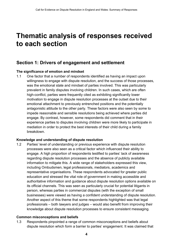## <span id="page-5-0"></span>**Thematic analysis of responses received to each section**

### <span id="page-5-1"></span>**Section 1: Drivers of engagement and settlement**

#### **The significance of emotion and mindset**

1.1 One factor that a number of respondents identified as having an impact upon willingness to engage with dispute resolution, and the success of those processes, was the emotional state and mindset of parties involved. This was particularly prevalent in family disputes involving children. In such cases, which are often high-conflict, parties were frequently cited as exhibiting significantly lower motivation to engage in dispute resolution processes at the outset due to their emotional attachment to previously entrenched positions and the potentially antagonistic attitude to the other party. These factors were also seen by some to impede reasonable and sensible resolutions being achieved where parties did engage. By contrast, however, some respondents did comment that in their experience parties to disputes involving children were more likely to participate in mediation in order to protect the best interests of their child during a family breakdown.

#### **Knowledge and understanding of dispute resolution**

1.2 Parties' level of understanding or previous experience with dispute resolution processes were also seen as a critical factor which influenced their ability to engage. A high proportion of respondents testified to parties' lack of awareness regarding dispute resolution processes and the absence of publicly available information to mitigate this. A wide range of stakeholders expressed this view, including Ombudsmen, legal professionals, mediators, academics and representative organisations. These respondents advocated for greater public education and stressed the vital role of government in making accessible and authoritative information and guidance about dispute resolution options available on its official channels. This was seen as particularly crucial for potential litigants in person, whereas parties in commercial disputes (with the exception of small businesses) were viewed as having a confident understanding of dispute resolution. Another aspect of this theme that some respondents highlighted was that legal professionals – both lawyers and judges – would also benefit from improving their knowledge about dispute resolution processes to ensure consistent messaging.

#### **Common misconceptions and beliefs**

1.3 Respondents pinpointed a range of common misconceptions and beliefs about dispute resolution which form a barrier to parties' engagement. It was claimed that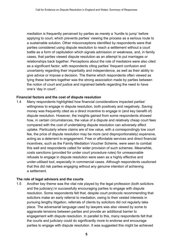mediation is frequently perceived by parties as merely a 'hurdle to jump' before applying to court, which prevents parties' viewing the process as a serious route to a sustainable solution. Other misconceptions identified by respondents were that parties considered using dispute resolution to reach a settlement without a court battle as a form of capitulation which signals admission or weakness, and, in family cases, that parties viewed dispute resolution as an attempt to put marriages or relationships back together. Perceptions about the role of mediators were also cited as a significant factor, with respondents citing parties' frequent confusion and uncertainty regarding their impartiality and independence, as well as their ability to give advice or impose a decision. The theme which respondents often viewed as tying these barriers together was the strong association made by parties between the notion of court and justice and ingrained beliefs regarding the need to have one's 'day in court'.

#### **Financial factors and the cost of dispute resolution**

1.4 Many respondents highlighted how financial considerations impacted parties' willingness to engage in dispute resolution, both positively and negatively. Saving money was frequently cited as a direct incentive to engage in (and key benefit of) dispute resolution. However, the insights gained from some respondents showed how, in certain circumstances, the value of a dispute and relatively cheap court fees compared with the cost of undertaking dispute resolution can adversely affect uptake. Particularly where claims are of low value, with a correspondingly low court fee, the price of dispute resolution may be more (and disproportionately) expensive, acting as a deterrent to engagement. Free or affordable services and direct financial incentives, such as the Family Mediation Voucher Scheme, were seen to combat this well and respondents called for wider provision of such schemes. Meanwhile, costs sanctions (provided for under court procedure rules) for unreasonable refusals to engage in dispute resolution were seen as a highly effective and under-utilised tool, especially in commercial cases. Although respondents cautioned that this did risk parties engaging without any genuine intention of achieving a settlement.

#### **The role of legal advisors and the courts**

1.5 Another key theme was the vital role played by the legal profession (both solicitors and the judiciary) in successfully encouraging parties to engage with dispute resolution. Some respondents felt that, despite court protocols recommending that solicitors make an early referral to mediation, owing to their vested interests in pursuing lengthy litigation, referrals of clients by solicitors did not regularly take place. The adversarial language used by lawyers was also viewed by some to aggravate tensions between parties and provide an additional barrier to engagement with dispute resolution. In parallel to this, many respondents felt that the courts and judiciary could do significantly more to endorse and encourage parties to engage with dispute resolution. It was suggested this might be achieved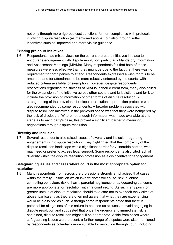not only through more rigorous cost sanctions for non-compliance with protocols involving dispute resolution (as mentioned above), but also through softer incentives such as improved and more visible guidance.

#### **Existing pre-court initiatives**

1.6 Respondents had mixed views on the current pre-court initiatives in place to encourage engagement with dispute resolution, particularly Mandatory Information and Assessment Meetings (MIAMs). Many respondents felt that both of these measures were less effective than they might be due to the fact that there was no requirement for both parties to attend. Respondents expressed a wish for this to be amended and for attendance to be more robustly enforced by the courts, with reduced criteria available for exemption. However, despite respondents' reservations regarding the success of MIAMs in their current form, many also called for the expansion of the initiative across other sectors and jurisdictions and for it to include the provision of information of other forms of dispute resolution. A strengthening of the provisions for dispute resolution in pre-action protocols was also recommended by some respondents. A broader problem associated with dispute resolution initiatives in the pre-court space was that they were hampered by the lack of disclosure. Where not enough information was made available at this stage as to each party's case, this proved a significant barrier to meaningful negotiations through dispute resolution.

#### **Diversity and inclusion**

1.7 Several respondents also raised issues of diversity and inclusion regarding engagement with dispute resolution. They highlighted that the complexity of the dispute resolution landscape was a significant barrier for vulnerable parties, who may need or prefer to access legal support. Some respondents also cited lack of diversity within the dispute resolution profession as a disincentive for engagement.

#### **Safeguarding issues and cases where court is the most appropriate option for resolution**

1.8 Many respondents from across the professions strongly emphasised that cases within the family jurisdiction which involve domestic abuse, sexual abuse, controlling behaviour, risk of harm, parental negligence or safeguarding concerns are more appropriate for resolution within a court setting. As such, any push for greater uptake of dispute resolution should take care not to overlook the victims of abuse, particularly as they are often not aware that what they are experiencing would be classified as such. Although some respondents noted that there is potential for allegations of this nature to be used as excuses to avoid engaging in dispute resolution and suggested that once the urgency and immediate risk is contained, dispute resolution might still be appropriate. Aside from cases where safeguarding issues were present, a further range of disputes were also mentioned by respondents as potentially more suitable for resolution through court, including: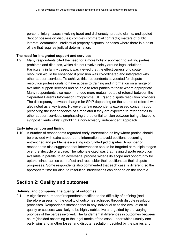personal injury; cases involving fraud and dishonesty; probate claims; undisputed debt or possession disputes; complex commercial contracts; matters of public interest; defamation; intellectual property disputes; or cases where there is a point of law that requires judicial determination.

#### **The need for integrated support and services**

1.9 Many respondents cited the need for a more holistic approach to solving parties' problems and disputes, which did not revolve solely around legal solutions. Particularly in family cases, it was viewed that the effectiveness of dispute resolution would be enhanced if provision was co-ordinated and integrated with other support services. To achieve this, respondents advocated for dispute resolution professionals to have access to training and information on a range of available support services and be able to refer parties to those where appropriate. Many respondents also recommended more mutual routes of referral between the Separated Parents Information Programme (SPIP) and dispute resolution providers. The discrepancy between charges for SPIP depending on the source of referral was also noted as a key issue. However, a few respondents expressed concern about preserving the independence of a mediator if they are expected to refer parties to other support services, emphasising the potential tension between being allowed to signpost clients whilst upholding a non-advisory, independent approach.

#### **Early intervention and timing**

1.10 A number of respondents regarded early intervention as key where parties should be provided with extra support and information to avoid positions becoming entrenched and problems escalating into full-fledged disputes. A number of respondents also suggested that interventions should be targeted at multiple stages over the lifecycle of a case. The rationale cited was that having dispute resolution available in parallel to an adversarial process widens its scope and opportunity for uptake, since parties can reflect and reconsider their positions as their dispute progresses. Some respondents also commented that each case is different, so the appropriate time for dispute resolution interventions can depend on the context.

### <span id="page-8-0"></span>**Section 2: Quality and outcomes**

#### **Defining and comparing the quality of outcomes**

2.1 A significant number of respondents testified to the difficulty of defining (and therefore assessing) the quality of outcomes achieved through dispute resolution processes. Respondents stressed that in any individual case the evaluation of quality or success was likely to be highly subjective and guided by the varying priorities of the parties involved. The fundamental differences in outcomes between court (decided according to the legal merits of the case, under which usually one party wins and another loses) and dispute resolution (decided by the parties and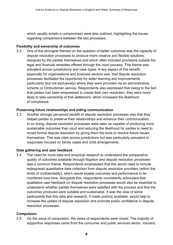which usually entails a compromise) were also outlined, highlighting the issues regarding comparisons between the two processes.

#### **Flexibility and ownership of outcomes**

2.2 One of the strongest themes on the question of better outcomes was the capacity of dispute resolution processes to produce more creative and flexible solutions, designed by the parties themselves and which often included provisions outside the legal and financial remedies offered through the court process. This theme was prevalent across jurisdictions and case types. A key aspect of this benefit, especially for organisations and business sectors was, that dispute resolution processes facilitated the opportunity for wider learning and improvements, particularly (but not exclusively) where they were provided via an administrative scheme or Ombudsman service. Respondents also expressed that owing to the fact that parties had been empowered to create their own resolution, they were more likely to take ownership of that settlement, which increased the likelihood of compliance.

#### **Preserving future relationships and aiding communication**

2.3 Another strongly perceived benefit of dispute resolution processes was that they helped parties to preserve their relationships and enhance their communication. In so doing, dispute resolution processes were seen as capable of producing more sustainable outcomes than court and reducing the likelihood for parties to need to revisit formal dispute resolution by giving them the tools to resolve future issues themselves. This was cited across jurisdictions but was particularly prevalent in responses focused on family cases and child arrangements.

#### **Data gathering and user feedback**

2.4 The need for more data and empirical research to understand the comparative quality of outcomes available through litigation and dispute resolution processes was a common theme. Respondents emphasised that this would need to include widespread quantitative data collection from dispute resolution providers (within the limits of confidentiality), which would enable outcomes and performance to be monitored over time. Alongside this, respondents consistently advocated that qualitative user feedback on dispute resolution processes would also be essential to understand whether parties themselves were satisfied with the process and that the outcomes produced were suitable and sustainable. It was the view of some participants that this data and research, if made publicly available, would help to increase the uptake of dispute resolution and promote public confidence in dispute resolution processes.

#### **Compulsion**

2.5 On the issue of compulsion, the views of respondents were mixed. The majority of supportive responses came from the consumer and public services sector, insurers,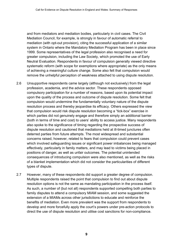and from mediators and mediation bodies, particularly in civil cases. The Civil Mediation Council, for example, is strongly in favour of automatic referral to mediation (with opt-out provision), citing the successful application of a similar system in Ontario where the Mandatory Mediation Program has been in place since 1999. Some representatives of the legal profession also recognised a need for greater compulsion, including the Law Society, which promoted the use of Early Neutral Evaluation. Respondents in favour of compulsion generally viewed directive systematic reform (with scope for exemptions where appropriate) as the only means of achieving a meaningful culture change. Some also felt that compulsion would remove the unhelpful perception of weakness attached to using dispute resolution.

- 2.6 Unsupportive respondents came largely (although not exclusively) from the legal profession, academia, and the advice sector. These respondents opposed compulsory participation for a number of reasons, based upon its potential impact upon the quality of the process and outcome of dispute resolution. Some felt that compulsion would undermine the fundamentally voluntary nature of the dispute resolution process and thereby jeopardise its efficacy. Others expressed the view that compulsion would risk dispute resolution becoming a "tick-box" exercise in which parties did not genuinely engage and therefore simply an additional barrier (both in terms of time and cost) to users' ability to access justice. Many respondents also spoke to the significance of timing regarding the prospective success of dispute resolution and cautioned that mediations held at ill-timed junctures often deterred parties from future attempts. The most widespread and substantial concerns raised, however, related to fears that compulsion could prevent cases which involved safeguarding issues or significant power imbalances being managed effectively, particularly in family matters, and may lead to victims being placed in positions of danger, as well as unfair outcomes. The potential unintended consequences of introducing compulsion were also mentioned, as well as the risks of a blanket implementation which did not consider the particularities of different types of dispute.
- 2.7 However, many of these respondents did support a greater degree of compulsion. Multiple respondents raised the point that compulsion to find out about dispute resolution options is not the same as mandating participation in the process itself. As such, a number of (but not all) respondents supported compelling both parties to family disputes to attend a compulsory MIAM session, and some suggested the extension of a MIAMs across other jurisdictions to educate and reinforce the benefits of mediation. Even more prevalent was the support from respondents to develop and more forcefully apply the court's powers under pre-action protocols to direct the use of dispute resolution and utilise cost sanctions for non-compliance.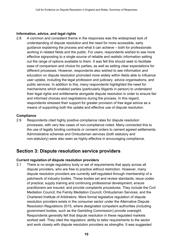#### **Information, advice, and legal rights**

2.8 A common and consistent theme in the responses was the widespread lack of understanding of dispute resolution and the need for more accessible, early guidance explaining the process and what it can achieve – both for professionals working in related fields and the public. For users, respondents wished to see more effective signposting to a single source of reliable and realistic information setting out the range of options available to them. It was felt this should seek to facilitate ease of comparison and choice for parties, as well as setting clear expectations for different processes. However, respondents also wished to see information and education on dispute resolution promoted more widely within fields able to influence user uptake, including the legal profession and judiciary, advice organisations, and public services. In addition to this, many respondents highlighted the need for mechanisms which enabled parties (particularly litigants in person) to understand their legal rights and entitlements alongside dispute resolution in order to ensure fair and informed choices and negotiations during the process. In this regard, respondents stressed their support for greater provision of free legal advice as a means of supporting both the uptake and effective use of dispute resolution.

#### **Compliance**

2.9 Respondents cited highly positive compliance rates for dispute resolution processes, with very few cases of non-compliance noted. Many connected this to the use of legally binding contracts or consent orders to cement agreed settlements. Administrative schemes and Ombudsman services (both statutory and non-statutory) were also seen as highly effective in encouraging compliance.

### <span id="page-11-0"></span>**Section 3: Dispute resolution service providers**

#### **Current regulation of dispute resolution providers**

3.1 There is no single regulatory body or set of requirements that apply across all dispute providers, who are free to practice without restriction. However, many dispute resolution providers are currently self-regulated through membership of a patchwork of industry bodies. These bodies set and review standards; issue codes of practice; supply training and continuing professional development; ensure practitioners are insured; and provide complaints procedures. They include the Civil Mediation Council; the Family Mediation Council; Ombudsman Services; and the Chartered Institute of Arbitrators. More formal legislative regulation of dispute resolution providers exists in the consumer sector under the Alternative Dispute Resolution Regulations 2015, where designated competent authorities (including government bodies, such as the Gambling Commission) provide oversight. Respondents generally felt that dispute resolution in these regulated markets worked well. They cited the regulators' ability to tailor requirements to the sector and work closely with dispute resolution providers as strengths. It was suggested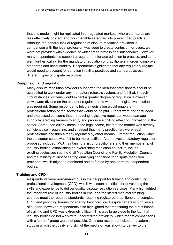that this model might be replicated in unregulated markets, where standards are less effectively policed, and would enable safeguards to prevent bad practice. Although the general lack of regulation of dispute resolution providers in comparison with the legal profession was seen to create confusion for users, we were not provided with evidence of widespread professional misconduct. However, many respondents did support a requirement for accreditation to practice, and some went further, calling for the mandatory regulation of practitioners in order to improve standards and accountability. Respondents highlighted that any regulatory regime would need to account for variation in skills, practices and standards across different types of dispute resolution.

#### **Compulsion and regulation**

3.2 Many dispute resolution providers supported the idea that practitioners should be accredited to work under any mandatory referrals system, and felt that, in such circumstances, citizens would expect a greater degree of regulation. However, views were divided on the extent of regulation and whether a legislative solution was required. Some respondents felt that legislation would enable a professionalisation of the sector that would be helpful. Others were not persuaded and expressed concerns that introducing legislative regulation would damage supply by erecting barriers to entry and produce a chilling effect on innovation in the sector. Some, particularly those in the legal sector, felt that the market was already sufficiently self-regulating, and stressed that many practitioners were legal professionals and thus already regulated by other means. Greater regulation within the consumer space was felt to be more justified. Alternatives to statutory regulation proposed included: MoJ maintaining a list of practitioners and their membership of industry bodies; establishing an overarching mediation council to include existing bodies such as the Civil Mediation Council and Family Mediation Council; and the Ministry of Justice setting qualifying conditions for dispute resolution providers, which might be monitored and enforced by one or more independent bodies. 

#### **Training and CPD**

3.3 Respondents were near-unanimous in their support for training and continuing professional development (CPD), which was seen as critical for developing the skills and experience to deliver quality dispute resolution services. Many highlighted the important role of industry bodies in ensuring registered mediator training courses meet the required standards, requiring registered practitioners to complete CPD, and providing forums for sharing best practice. Despite generally high levels of support, however, respondents also highlighted that measuring the direct impact of training and CPD was extremely difficult. This was largely due to the fact that industry bodies do not work with unaccredited providers, which meant comparisons with a 'control' group were not possible. Only one respondent cited an academic study in which the quality and skill of the mediator was shown to be key to the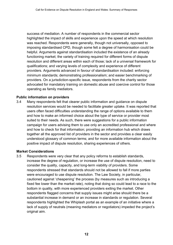success of mediation. A number of respondents in the commercial sector highlighted the impact of skills and experience upon the speed at which resolution was reached. Respondents were generally, though not universally, opposed to imposing standardised CPD, though some felt a degree of harmonisation could be helpful. Arguments against standardisation included the existence of an already functioning market; the variety of training required for different forms of dispute resolution and different areas within each of those; lack of a universal framework for qualifications; and varying levels of complexity and experience of different providers. Arguments advanced in favour of standardisation included: enforcing minimum standards; demonstrating professionalism; and easier benchmarking of providers. On a jurisdiction-specific issue, respondents from the charity sector advocated for mandatory training on domestic abuse and coercive control for those operating as family mediators.

#### **Public information on providers**

3.4 Many respondents felt that clearer public information and guidance on dispute resolution services would be needed to facilitate greater uptake. It was reported that users often faced difficulties understanding the range of options available to them and how to make an informed choice about the type of service or provider most suited to their needs. As such, there were suggestions for a public information campaign for users advising them to use only an accredited professional and where and how to check for that information; providing an information hub which draws together all the approved list of providers in the sector and provides a clear easily understood glossary of common terms; and for more available information about the positive impact of dispute resolution, sharing experiences of others.

#### **Market Considerations**

3.5 Respondents were very clear that any policy reforms to establish standards, increase the degree of regulation, or increase the use of dispute resolution, need to consider the quality, capacity, and long-term viability of providers. Some respondents stressed that standards should not be allowed to fall if more parties were encouraged to use dispute resolution. The Law Society, in particular, cautioned against 'cheapening' the process (by measures such as introducing a fixed fee lower than the market rate), noting that doing so could lead to a race to the bottom in quality, with more experienced providers exiting the market. Other respondents flagged concerns that supply issues might arise should there be a substantial increase in demand or an increase in standards or regulation. Several respondents highlighted the Whiplash portal as an example of an initiative where a lack of supply of neutrals (meaning mediators or negotiators) impeded the project's original aim.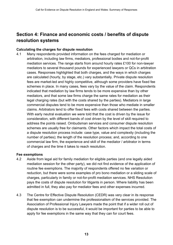## <span id="page-14-0"></span>**Section 4: Finance and economic costs / benefits of dispute resolution systems**

#### **Calculating the charges for dispute resolution**

4.1 Many respondents provided information on the fees charged for mediation or arbitration, including law firms, mediators, professional bodies and not-for-profit mediation services. The range starts from around hourly rates £100 for non-lawyer mediators to several thousand pounds for experienced lawyers or QCs in arbitration cases. Responses highlighted that both charges, and the ways in which charges are calculated (hourly, by stage, etc.) vary substantially. Private dispute resolution fees are market-led and highly competitive, although some providers have fixed fee schemes in place. In many cases, fees vary by the value of the claim. Respondents indicated that mediation by law firms tends to be more expensive than by other mediators, and that some law firms charge the same rates for mediation as their legal charging rates (but with the costs shared by the parties). Mediators in large commercial disputes tend to be more expensive than those who mediate in smaller claims. Arbitrators tend to offer fixed fees with costs shared between the parties. With early neutral evaluation we were told that the cost is driven by the issue for consideration, with different bands of cost driven by the level of skill required to address the points raised. Ombudsman services and consumer dispute resolution schemes are usually free for claimants. Other factors which impact the total costs of a dispute resolution process include: case type, value and complexity (including the number of parties); the length of the resolution process; and, according to one commercial law firm, the experience and skill of the mediator / arbitrator in terms of charges and the time it takes to reach resolution.

#### **Fee exemptions**

- 4.2 Aside from legal aid for family mediation for eligible parties (and one legally aided mediation session for the other party), we did not find evidence of the application of routine fee exemptions. The majority of respondents offered no fee variation or reduction, but there were some examples of pro bono mediation or a sliding scale of charges, particularly in family or not-for-profit mediation services. NHS Resolution pays the costs of dispute resolution for litigants in person. Where liability has been admitted in full, they also pay for mediator fees and other expenses incurred.
- 4.3 The Centre for Effective Dispute Resolution (CEDR) was very clear in its response that fee exemption can undermine the professionalism of the services provided. The Association of Professional Injury Lawyers made the point that if a wider roll out of dispute resolution is to be successful, it would be important for parties to be able to apply for fee exemptions in the same way that they can for court fees.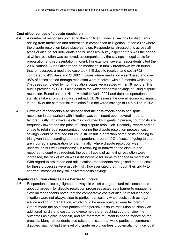#### **Cost effectiveness of dispute resolution**

- 4.4 A number of responses pointed to the significant financial savings for disputants arising from mediation and arbitration in comparison to litigation, in particular where the dispute resolution takes place early on. Respondents stressed this across all types of dispute, for individuals and businesses. A key aspect of this was the speed at which resolution was achieved, accompanied by the savings in legal costs for preparation and representation in court. For example, several respondents cited the 2007 National Audit Office report on mediation in family breakdown which found that, on average, a mediated case took 110 days to resolve, and cost £752 compared to 435 days and £1,682 in cases where mediation wasn't used and over 95% of cases settled through mediation were resolved within 9 months while only 7% cases completed by non-mediation routes were settled within 18 months. The audits provided by CEDR also point to the wider economic savings of using dispute resolution. Based on their Ninth Mediation Audit 2021 and detailed operational statistics taken from their own caseload, CEDR assess the overall economic impact in the UK of the commercial mediation field delivered savings of £4.6 billion in 2021.
- 4.5 However, respondents also stressed that the cost-effectiveness of dispute resolution in comparison with litigation was contingent upon several important factors. Firstly, for low-value claims conducted by litigants in person, court costs are frequently lower than the price of using dispute resolution. Secondly, where parties chose to retain legal representation during the dispute resolution process, cost savings would be reduced but could still result in a fraction of the costs of going to trial given that, according to one respondent, around 40% of costs of going to court are incurred in preparation for trial. Finally, where dispute resolution was undertaken but was unsuccessful in resolving or narrowing the dispute and recourse to court was required, the overall costs of achieving resolution were increased, the risk of which was a disincentive for some to engage in mediation. With regard to arbitration and adjudication, respondents recognised that the costs for these processes were usually high, however cited that through their ability to shorten timescales they still delivered costs savings.

#### **Dispute resolution charges as a barrier to uptake**

4.6 Respondents also highlighted the ways in which charges – and misconceptions about charges – for dispute resolution processes acted as a barrier to engagement. Several respondents noted that the comparative costs of dispute resolution and litigation were not always clear to parties, particularly when costs such as legal advice and court preparation, which could be more opaque, were factored in. Others made the point that parties often perceive dispute resolution as simply an additional hurdle and cost to be overcome before reaching court, or view the outcomes as highly uncertain, and are therefore reluctant to spend money on the process. Many respondents also raised the issue that while parties to commercial disputes may not find the level of dispute resolution fees problematic, for individual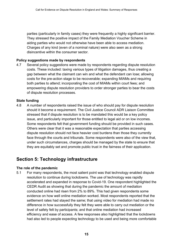parties (particularly in family cases) they were frequently a highly significant barrier. They stressed the positive impact of the Family Mediation Voucher Scheme in aiding parties who would not otherwise have been able to access mediation. Charges of any kind (even of a nominal nature) were also seen as a strong disincentive within the consumer sector.

#### **Policy suggestions made by respondents**

4.7 Several policy suggestions were made by respondents regarding dispute resolution costs. These included: taxing various types of litigation damages, thus creating a gap between what the claimant can win and what the defendant can lose; allowing costs for the pre-action stage to be recoverable; expanding MIAMs and requiring both parties to attend; incorporating the cost of MIAMs within court fees; and empowering dispute resolution providers to order stronger parties to bear the costs of dispute resolution processes.

#### **State funding**

4.8 A number of respondents raised the issue of who should pay for dispute resolution should it become a requirement. The Civil Justice Council ADR Liaison Committee stressed that if dispute resolution is to be mandated this would be a key policy issue, and particularly important for those entitled to legal aid or on low incomes. Some respondents felt that government funding should be provided in such cases. Others were clear that it was a reasonable expectation that parties accessing dispute resolution should not face heavier cost burdens than those they currently face through the courts and tribunals. Some respondents were also of the view that, under such circumstances, charges should be managed by the state to ensure that they are equitably set and promote public trust in the fairness of their application.

### <span id="page-16-0"></span>**Section 5: Technology infrastructure**

#### **The role of the pandemic**

5.1 For many respondents, the most salient point was that technology enabled dispute resolution to continue during lockdowns. The use of technology was rapidly accelerated and expanded in response to Covid-19. One respondent highlighted the CEDR Audit as showing that during the pandemic the amount of mediation conducted online had risen from 2% to 89%. This had given respondents some evidence on how well online mediation worked. Most respondents reported that the settlement rates had stayed the same; that using video for mediation had made no difference in how successfully they felt they were able to carry out mediation or the level of safety felt by participants; and that online mediation had increased efficiency and ease of access. A few responses also highlighted that the lockdowns had also led to people expecting technology to be used and being more comfortable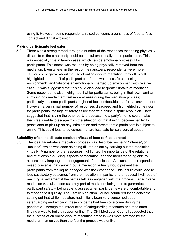using it. However, some respondents raised concerns around loss of face-to-face contact and digital exclusion.

#### **Making participants feel safer**

5.2 There was a strong thread through a number of the responses that being physically distant from the other party could be helpful emotionally to the participants. This was especially true in family cases, which can be emotionally stressful for participants. This stress was reduced by being physically removed from the mediation. Even where, in the rest of their answers, respondents were more cautious or negative about the use of online dispute resolution, they often still highlighted the benefit of participant comfort. It was a less "pressurising environment", and "absorbs an emotionally charged up environment with relative ease". It was suggested that this could also lead to greater uptake of mediation. Some respondents also highlighted that for participants, being in their own familiar surroundings made them feel more at ease during the mediation process; particularly as some participants might not feel comfortable in a formal environment. However, a very small number of responses disagreed and highlighted some risks for participants' feelings of safety associated with online dispute resolution. They suggested that having the other party broadcast into a party's home could make them feel unable to escape from the situation, or that it might become harder for practitioner to pick up on any intimidation and threats that a participant is subject to online. This could lead to outcomes that are less safe for survivors of abuse.

#### **Suitability of online dispute resolution/loss of face-to-face contact**

5.3 The ideal face-to-face mediation process was described as being "intense", or "focused", which was seen as being diluted or lost by carrying out the mediation virtually. A number of the responses highlighted the importance of the relational, and relationship-building, aspects of mediation; and the mediator being able to assess body language and engagement of participants. As such, some respondents raised concerns that carrying out a mediation virtually would prevent the participants from feeling as engaged with the experience. This in turn could lead to less satisfactory outcomes from the mediation, in particular the reduced likelihood of reaching a settlement if the parties felt less engaged with the process. Face-to-face mediation was also seen as a key part of mediators being able to guarantee participant safety – being able to assess when participants were uncomfortable and to respond to it quickly. The Family Mediation Council countered these concerns, setting out that while mediators had initially been very concerned about safeguarding and efficacy, these concerns had been overcome during the pandemic – through the introduction of safeguarding measures and mediators finding a way to build a rapport online. The Civil Mediation Council suggested that the success of an online dispute resolution process was more affected by the mediator themselves than the fact the process was online.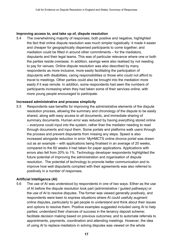#### **Improving access to, and take up of, dispute resolution**

5.4 The overwhelming majority of responses, both positive and negative, highlighted the fact that online dispute resolution was much simpler logistically*:* it made it easier and cheaper for geographically dispersed participants to come together; and mediation could be fitted in around other commitments – for the mediators, disputants and their legal teams. This was of particular relevance where one or both the parties reside overseas. In addition, savings were also realised by not needing to pay for venues. Online dispute resolution was also described by many respondents as more inclusive, more easily facilitating the participation of disputants with disabilities, caring responsibilities or those who could not afford to travel to meetings. Other parties could also be brought into the mediation more easily if it was remote. In addition, some respondents had seen the numbers of participants increasing when they had taken some of their services online, with more young people encouraged to participate.

#### **Increased administrative and process simplicity**

5.5 Respondents saw benefits for improving the administrative elements of the dispute resolution process, allowing the summary and chronology of the dispute to be easily shared, along with easy access to all documents, and immediate sharing of summary documents. Human error was reduced by having everything stored online – everyone could input into the system, rather than the mediator needing to read through documents and input them. Some portals and platforms walk users through the process and prevent disputants from missing any steps. Speed is also increased alongside reduction in error: MyHMCTS online divorce portal was drawn out as an example – with applications being finalised in an average of 20 weeks, compared to the 60 weeks it had taken for paper applications. Applications with errors also fell from 20% to 1%. Technology developer respondents highlighted the future potential of improving the administration and organisation of dispute resolution. The potential of technology to promote better communication and to improve how well disputants complied with their agreements was also referred to positively in a number of responses.

#### **Artificial Intelligence (AI)**

5.6 The use of AI was understood by respondents in one of two ways. Either as the use of AI before the dispute resolution took part (administrative / guided pathways) or the use of AI to resolve disputes. The former was viewed generally positively, and respondents were keen to express situations where AI could usefully augment online disputes, particularly to get people to understand and think about their issues and options to resolve them. Positive examples suggested included using AI to help parties: understand their chances of success in the tenancy deposit scheme; facilitate decision making based on previous outcomes; and to automate referrals to appointments, payments, coordination and attending meetings. However, the idea of using AI to replace mediators in solving disputes was viewed on the whole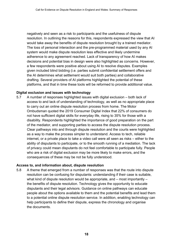negatively and seen as a risk to participants and the usefulness of dispute resolution. In outlining the reasons for this, respondents expressed the view that AI would take away the benefits of dispute resolution brought by a trained mediator. The loss of personal interaction and the pre-programmed material used by any AI system would make dispute resolution less effective and likely undermine adherence to any agreement reached. Lack of transparency of how AI makes decisions and potential bias in design were also highlighted as concerns. However, a few respondents were positive about using AI to resolve disputes. Examples given included blind bidding (i.e. parties submit confidential settlement offers and the AI determines what settlement would suit both parties) and collaborative drafting. Several providers of AI platforms highlighted the potential of these platforms, and that in time these tools will be reformed to provide additional value.

#### **Digital exclusion and issues with technology**

5.7 A number of responses highlighted issues with digital exclusion – both lack of access to and lack of understanding of technology, as well as no appropriate place to carry out an online dispute resolution process from home. The Motor Ombudsman quoted the 2019 Consumer Digital Index that 22% of consumers do not have sufficient digital skills for everyday life, rising to 35% for those with a disability. Respondents highlighted the importance of good preparation on the part of the mediator, and supporting parties to access the dispute resolution process. Clear pathways into and through dispute resolution and the courts were highlighted as a way to make the process simpler to understand. Access to tech, reliable internet, or a private place to take a video call were all seen as risks – either to the ability of disputants to participate, or to the smooth running of a mediation. The lack of privacy could mean disputants do not feel comfortable to participate fully. People who are a risk of digital exclusion may be more likely to make errors, and the consequences of these may be not be fully understood.

#### **Access to, and information about, dispute resolution**

5.8 A theme that emerged from a number of responses was that the route into dispute resolution can be confusing for disputants: understanding if their case is suitable, what kind of dispute resolution would be appropriate, and – most importantly – the benefits of dispute resolution. Technology gives the opportunity to educate disputants and their legal advisors. Guidance on online pathways can educate people about the options available to them and the potential benefits and lead them to a potential online dispute resolution service. In addition, enabling technology can help participants to define their dispute, express the chronology and organise the documents.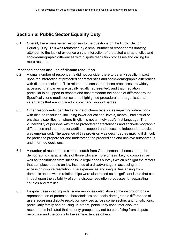## <span id="page-20-0"></span>**Section 6: Public Sector Equality Duty**

6.1 Overall, there were fewer responses to the questions on the Public Sector Equality Duty. This was reinforced by a small number of respondents drawing attention to the lack of evidence on the interaction of protected characteristics and socio-demographic differences with dispute resolution processes and calling for more research.

#### **Impact on access and use of dispute resolution**

- 6.2 A small number of respondents did not consider there to be any specific impact upon the interaction of protected characteristics and socio-demographic differences with dispute resolution. This related to a sense that these processes are widely accessed, that parties are usually legally represented, and that mediation in particular is equipped to respect and accommodate the needs of different groups. Specifically, one mediation scheme highlighted procedural and organisational safeguards that are in place to protect and support parties.
- 6.3 Other respondents identified a range of characteristics as impacting interactions with dispute resolution, including lower educational levels, mental, intellectual or physical disabilities, or where English is not an individual's first language. The vulnerability of persons with these protected characteristics and socio-demographic differences and the need for additional support and access to independent advice was emphasised. The absence of this provision was described as making it difficult for parties to prepare for and understand the proceedings and achieve autonomous and informed decisions.
- 6.4 A number of respondents cited research from Ombudsman schemes about the demographic characteristics of those who are more or less likely to complain, as well as the findings from successive legal needs surveys which highlight the factors that can place people on low incomes at a disadvantage in assessing and accessing dispute resolution. The experiences and inequalities arising from domestic abuse within relationships were also raised as a significant issue that can impact upon the suitability of some dispute resolution processes for separating couples and families.
- 6.5 Despite these cited impacts, some responses also showed the disproportionate representation of protected characteristics and socio-demographic differences of users accessing dispute resolution services across some sectors and jurisdictions, particularly family and housing. In others, particularly consumer disputes, respondents indicated that minority groups may not be benefitting from dispute resolution and the courts to the same extent as others.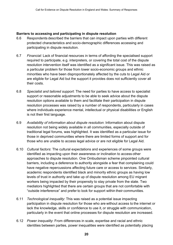#### **Barriers to accessing and participating in dispute resolution**

- 6.6 Respondents described the barriers that can impact upon parties with different protected characteristics and socio-demographic differences accessing and participating in dispute resolution.
- 6.7 *Financial*: Lack of financial resources in terms of affording the specialised support required to participate, e.g. interpreters, or covering the total cost of the dispute resolution intervention itself was identified as a significant issue. This was raised as a particular problem for those from lower socio-economic groups and ethnic minorities who have been disproportionately affected by the cuts to Legal Aid or are eligible for Legal Aid but the support it provides does not sufficiently cover all their costs.
- 6.8 *Specialist and tailored support*: The need for parties to have access to specialist support or reasonable adjustments to be able to seek advice about the dispute resolution options available to them and facilitate their participation in dispute resolution processes was raised by a number of respondents, particularly in cases where individuals experience mental, intellectual or physical disabilities or English is not their first language.
- 6.9 *Availability of information about dispute resolution*: Information about dispute resolution not being widely available in all communities, especially outside of traditional legal forums, was highlighted. It was identified as a particular issue for those in deprived communities where there are limited forms of support and for those who are unable to access legal advice or are not eligible for Legal Aid.
- 6.10 *Cultural factors*: The cultural expectations and experiences of some groups were identified as impacting upon their awareness or inclination to access other approaches to dispute resolution. One Ombudsman scheme pinpointed cultural barriers, including a deference to authority alongside a fear that complaining could have negative repercussions affecting future care or access to services. Similarly, academic respondents identified black and minority ethnic groups as having low levels of trust in authority and take up of dispute resolution among EU migrant workers being impacted by their propensity to stay private from the state. Two mediators highlighted that there are certain groups that are not comfortable with "outside interference" and prefer to look for support within their communities.
- 6.11 *Technological inequality*: This was raised as a potential issue impacting participation in dispute resolution for those who are without access to the internet or lack the knowledge, skills or confidence to use it, or struggle with communication, particularly in the event that online processes for dispute resolution are increased.
- 6.12 *Power inequality*: From differences in scale, expertise and racial and ethnic identities between parties, power inequalities were identified as potentially placing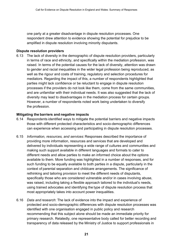one party at a greater disadvantage in dispute resolution processes. One respondent drew attention to evidence showing the potential for prejudice to be amplified in dispute resolution involving minority disputants.

#### **Dispute resolution providers**

6.13 The lack of diversity in the demographic of dispute resolution providers, particularly in terms of race and ethnicity, and specifically within the mediation profession, was raised. In terms of the potential causes for the lack of diversity, attention was drawn to gender and racial inequalities in the wider legal profession being reproduced, as well as the rigour and costs of training, regulatory and selection procedures for mediators. Regarding the impact of this, a number of respondents highlighted that parties might lack confidence or be reluctant to engage in dispute resolution processes if the providers do not look like them, come from the same communities, and are unfamiliar with their individual needs. It was also suggested that the lack of diversity may lead to disadvantages in the mediation process for certain groups. However, a number of respondents noted work being undertaken to diversify the profession.

#### **Mitigating the barriers and negative impacts**

- 6.14 Respondents identified ways to mitigate the potential barriers and negative impacts those with different protected characteristics and socio-demographic differences can experience when accessing and participating in dispute resolution processes.
- 6.15 *Information, resources, and services*: Responses described the importance of providing more information, resources and services that are developed and delivered by individuals representing a wide range of cultures and communities and making such support available in different languages and formats to cater to different needs and allow parties to make an informed choice about the options available to them. More funding was highlighted in a number of responses, and for such funding to be equally available to both parties in a dispute, particularly in the context of parental separation and childcare arrangements. The significance of rethinking and tailoring provision to meet the different needs of disputants, specifically those who are considered vulnerable and/or in cases involving abuse, was raised, including taking a flexible approach tailored to the individual's needs, using trained advocates and identifying the type of dispute resolution process that most appropriately takes into account power inequalities.
- 6.16 *Data and research*: The lack of evidence into the impact and experience of protected and socio-demographic differences with dispute resolution processes was identified with one organisation engaged in public policy and research recommending that this subject alone should be made an immediate priority for primary research. Relatedly, one representative body called for better recording and transparency of data released by the Ministry of Justice to support professionals in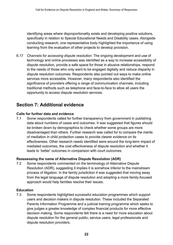identifying areas where disproportionality exists and developing positive solutions, specifically in relation to Special Educational Needs and Disability cases. Alongside conducting research, one representative body highlighted the importance of using learning from the evaluation of other projects to develop provision.

6.17 *Channels for accessing dispute resolution*: The ongoing development and use of technology and online processes was identified as a way to increase accessibility of dispute resolution, provide a safe space for those in abusive relationships, respond to the needs of those who only want to be engaged digitally and reduce disparity in dispute resolution outcomes. Respondents also pointed out ways to make online services more accessible. However, many respondents also identified the significance of providers offering a range of communication channels, including traditional methods such as telephone and face-to-face to allow all users the opportunity to access dispute resolution services.

## <span id="page-23-0"></span>**Section 7: Additional evidence**

#### **Calls for further data and evidence**

7.1 Some respondents called for further transparency from government in publishing data about numbers of cases and outcomes. It was suggested that figures should be broken down by demographics to check whether some groups are more disadvantaged than others. Further research was called for to compare the merits of mediation in child protection cases to provide clearer evidence on its effectiveness. Other research needs identified were around the long-term impact of mediated outcomes, the cost effectiveness of dispute resolution and whether it leads to 'better' outcomes in comparison with court outcomes.

#### **Reassessing the name of Alternative Dispute Resolution (ADR)**

7.2 Some respondents commented on the terminology of Alternative Dispute Resolution (ADR), suggesting it implies it is somehow inferior to the mainstream process of litigation. In the family jurisdiction it was suggested that moving away from the legal language of dispute resolution and adopting a more family-focused approach would help families resolve their issues.

#### **Education**

7.3 Some respondents highlighted successful education programmes which support users and decision makers in dispute resolution. These included the Separated Parents Information Programme and a judicial training programme which seeks to give judges a greater knowledge of complex financial products for more effective decision making. Some respondents felt there is a need for more education about dispute resolution for the general public; service users; legal professionals and dispute resolution providers.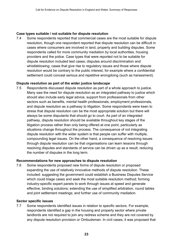#### **Case types suitable / not suitable for dispute resolution**

7.4 Some respondents reported that commercial cases are the most suitable for dispute resolution, though one respondent reported that dispute resolution can be difficult in cases where consumers are involved in land, property and building disputes. Some respondents called for more community mediation by local authorities, housing providers and the police. Case types that were reported not to be suitable for dispute resolution included test cases; disputes around discrimination and whistleblowing; cases that give rise to regulatory issues and those where dispute resolution would be contrary to the public interest, for example where a confidential settlement could conceal serious and repetitive wrongdoing (such as harassment).

#### **Dispute resolution as part of the wider justice landscape**

7.5 Respondents discussed dispute resolution as part of a whole approach to justice. Many saw the need for dispute resolution as an integrated pathway to justice which should also include early legal advice, support from professionals from other sectors such as benefits, mental health professionals, employment professionals, and dispute resolution as a pathway to litigation. Some respondents were keen to stress that dispute resolution can be the most appropriate solution but there will always be some disputants that should go to court. As part of an integrated pathway, dispute resolution should be available throughout key stages of the litigation process rather than only being offered at one point, particularly as situations change throughout the process. The consequence of not integrating dispute resolution with the wider system is that people can suffer with multiple, compounding legal issues. On the other hand, a consequence of resolving issues through dispute resolution can be that organisations can learn lessons through resolving disputes and standards of service can be driven up as a result, reducing the number of disputes in the long term.

#### **Recommendations for new approaches to dispute resolution**

7.6 Some respondents proposed new forms of dispute resolution or proposed expanding the use of relatively innovative methods of dispute resolution. These included: suggesting the government could establish a Business Disputes Service which could triage cases and seek the most suitable resolution method; forming industry-specific expert panels to work through issues at speed and generate effective, binding solutions; extending the use of simplified arbitration, round tables and joint settlement meetings; and further use of community mediation.

#### **Sector specific issues**

7.7 Some respondents identified issues in relation to specific sectors. For example, respondents identified a gap in the housing and property sector where private landlords are not required to join any redress scheme and they are not covered by any dispute resolution provision or Ombudsman. In civil cases, it was proposed that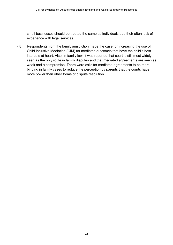small businesses should be treated the same as individuals due their often lack of experience with legal services.

7.8 Respondents from the family jurisdiction made the case for increasing the use of Child Inclusive Mediation (CIM) for mediated outcomes that have the child's best interests at heart. Also, in family law, it was reported that court is still most widely seen as the only route in family disputes and that mediated agreements are seen as weak and a compromise. There were calls for mediated agreements to be more binding in family cases to reduce the perception by parents that the courts have more power than other forms of dispute resolution.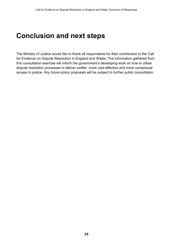## <span id="page-26-0"></span>**Conclusion and next steps**

The Ministry of Justice would like to thank all respondents for their contribution to the Call for Evidence on Dispute Resolution in England and Wales. The information gathered from this consultation exercise will inform the government's developing work on how to utilise dispute resolution processes to deliver swifter, more cost-effective and more consensual access to justice. Any future policy proposals will be subject to further public consultation.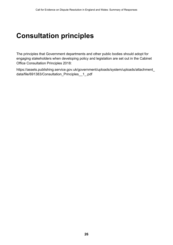## <span id="page-27-0"></span>**Consultation principles**

The principles that Government departments and other public bodies should adopt for engaging stakeholders when developing policy and legislation are set out in the Cabinet Office Consultation Principles 2018:

[https://assets.publishing.service.gov.uk/government/uploads/system/uploads/attachment\\_](https://assets.publishing.service.gov.uk/government/uploads/system/uploads/attachment_data/file/691383/Consultation_Principles__1_.pdf) [data/file/691383/Consultation\\_Principles\\_\\_1\\_.pdf](https://assets.publishing.service.gov.uk/government/uploads/system/uploads/attachment_data/file/691383/Consultation_Principles__1_.pdf)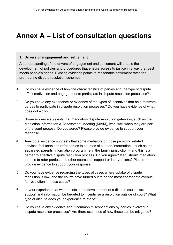## <span id="page-28-0"></span>**Annex A – List of consultation questions**

#### **1. Drivers of engagement and settlement**

An understanding of the drivers of engagement and settlement will enable the development of policies and procedures that ensure access to justice in a way that best meets people's needs. Existing evidence points to reasonable settlement rates for pre-hearing dispute resolution schemes

- 1. Do you have evidence of how the characteristics of parties and the type of dispute affect motivation and engagement to participate in dispute resolution processes?
- 2. Do you have any experience or evidence of the types of incentives that help motivate parties to participate in dispute resolution processes? Do you have evidence of what does not work?
- 3. Some evidence suggests that mandatory dispute resolution gateways, such as the Mediation Information & Assessment Meeting (MIAM), work well when they are part of the court process. Do you agree? Please provide evidence to support your response.
- 4. Anecdotal evidence suggests that some mediators or those providing related services feel unable to refer parties to sources of support/information – such as the separated parents' information programme in the family jurisdiction – and this is a barrier to effective dispute resolution process. Do you agree? If so, should mediators be able to refer parties onto other sources of support or interventions? Please provide evidence to support your response.
- 5. Do you have evidence regarding the types of cases where uptake of dispute resolution is low, and the courts have turned out to be the most appropriate avenue for resolution in these cases?
- 6. In your experience, at what points in the development of a dispute could extra support and information be targeted to incentivise a resolution outside of court? What type of dispute does your experience relate to?
- 7. Do you have any evidence about common misconceptions by parties involved in dispute resolution processes? Are there examples of how these can be mitigated?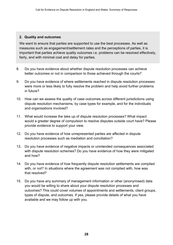#### **2. Quality and outcomes**

We want to ensure that parties are supported to use the best processes. As well as measures such as engagement/settlement rates and the perceptions of parties, it is important that parties achieve quality outcomes i.e. problems can be resolved effectively, fairly, and with minimal cost and delay for parties.

- 8. Do you have evidence about whether dispute resolution processes can achieve better outcomes or not in comparison to those achieved through the courts?
- 9. Do you have evidence of where settlements reached in dispute resolution processes were more or less likely to fully resolve the problem and help avoid further problems in future?
- 10. How can we assess the quality of case outcomes across different jurisdictions using dispute resolution mechanisms, by case types for example, and for the individuals and organisations involved?
- 11. What would increase the take up of dispute resolution processes? What impact would a greater degree of compulsion to resolve disputes outside court have? Please provide evidence to support your view.
- 12. Do you have evidence of how unrepresented parties are affected in dispute resolution processes such as mediation and conciliation?
- 13. Do you have evidence of negative impacts or unintended consequences associated with dispute resolution schemes? Do you have evidence of how they were mitigated and how?
- 14. Do you have evidence of how frequently dispute resolution settlements are complied with, or not? In situations where the agreement was not complied with, how was that resolved?
- 15. Do you have any summary of management information or other (anonymised) data you would be willing to share about your dispute resolution processes and outcomes? This could cover volumes of appointments and settlements, client groups, types of dispute, and outcomes. If yes, please provide details of what you have available and we may follow up with you.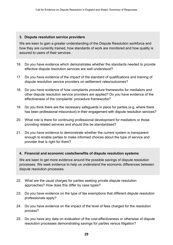#### **3. Dispute resolution service providers**

We are keen to gain a greater understanding of the Dispute Resolution workforce and how they are currently trained, how standards of work are monitored and how quality is assured to users of their services.

- 16. Do you have evidence which demonstrates whether the standards needed to provide effective dispute resolution services are well understood?
- 17. Do you have evidence of the impact of the standard of qualifications and training of dispute resolution service providers on settlement rates/outcomes?
- 18. Do you have evidence of how complaints procedure frameworks for mediators and other dispute resolution service providers are applied? Do you have evidence of the effectiveness of the complaints' procedure frameworks?
- 19. Do you think there are the necessary safeguards in place for parties (e.g. where there has been professional misconduct) in their engagement with dispute resolution services?
- 20. What role is there for continuing professional development for mediators or those providing related services and should this be standardised?
- 21. Do you have evidence to demonstrate whether the current system is transparent enough to enable parties to make informed choices about the type of service and provider that is right for them?

#### **4. Financial and economic costs/benefits of dispute resolution systems**

We are keen to get more evidence around the possible savings of dispute resolution processes. We seek evidence to help us understand the economic differences between dispute resolution processes.

- 22. What are the usual charges for parties seeking private dispute resolution approaches? How does this differ by case types?
- 23. Do you have evidence on the type of fee exemptions that different dispute resolution professionals apply?
- 24. Do you have evidence on the impact of the level of fees charged for the resolution process?
- 25. Do you have any data on evaluation of the cost-effectiveness or otherwise of dispute resolution processes demonstrating savings for parties versus litigation?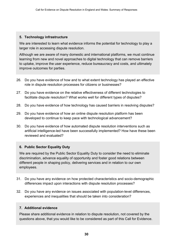#### **5. Technology infrastructure**

We are interested to learn what evidence informs the potential for technology to play a larger role in accessing dispute resolution.

Although we are aware of many domestic and international platforms, we must continue learning from new and novel approaches to digital technology that can remove barriers to uptake, improve the user experience, reduce bureaucracy and costs, and ultimately improve outcomes for parties.

- 26. Do you have evidence of how and to what extent technology has played an effective role in dispute resolution processes for citizens or businesses?
- 27. Do you have evidence on the relative effectiveness of different technologies to facilitate dispute resolution? What works well for different types of disputes?
- 28. Do you have evidence of how technology has caused barriers in resolving disputes?
- 29. Do you have evidence of how an online dispute resolution platform has been developed to continue to keep pace with technological advancement?
- 30. Do you have evidence of how automated dispute resolution interventions such as artificial intelligence-led have been successfully implemented? How have these been reviewed and evaluated?

#### **6. Public Sector Equality Duty**

We are required by the Public Sector Equality Duty to consider the need to eliminate discrimination, advance equality of opportunity and foster good relations between different people in shaping policy, delivering services and in relation to our own employees.

- 31. Do you have any evidence on how protected characteristics and socio-demographic differences impact upon interactions with dispute resolution processes?
- 32. Do you have any evidence on issues associated with population-level differences, experiences and inequalities that should be taken into consideration?

#### **7. Additional evidence**

Please share additional evidence in relation to dispute resolution, not covered by the questions above, that you would like to be considered as part of this Call for Evidence.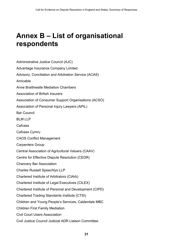## <span id="page-32-0"></span>**Annex B – List of organisational respondents**

Administrative Justice Council (AJC) Advantage Insurance Company Limited Advisory, Conciliation and Arbitration Service (ACAS) Amicable Anne Braithwaite Mediation Chambers Association of British Insurers Association of Consumer Support Organisations (ACSO) Association of Personal Injury Lawyers (APIL) Bar Council BLM LLP Cafcass Cafcass Cymru CAOS Conflict Management Carpenters Group Central Association of Agricultural Valuers (CAAV) Centre for Effective Dispute Resolution (CEDR) Chancery Bar Association Charles Russell Speechlys LLP Chartered Institute of Arbitrators (CIArb) Chartered Institute of Legal Executives (CILEX) Chartered Institute of Personal and Development (CIPD) Chartered Trading Standards Institute (CTSI) Children and Young People's Services, Calderdale MBC Children First Family Mediation Civil Court Users Association Civil Justice Council Judicial ADR Liaison Committee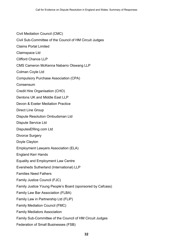- Civil Mediation Council (CMC)
- Civil Sub-Committee of the Council of HM Circuit Judges
- Claims Portal Limited
- Claimspace Ltd
- Clifford Chance LLP
- CMS Cameron McKenna Nabarro Olswang LLP
- Colman Coyle Ltd
- Compulsory Purchase Association (CPA)
- Consensum
- Credit Hire Organisation (CHO)
- Dentons UK and Middle East LLP
- Devon & Exeter Mediation Practice
- Direct Line Group
- Dispute Resolution Ombudsman Ltd
- Dispute Service Ltd
- DisputesEfiling.com Ltd
- Divorce Surgery
- Doyle Clayton
- Employment Lawyers Association (ELA)
- England Kerr Hands
- Equality and Employment Law Centre
- Eversheds Sutherland (International) LLP
- Families Need Fathers
- Family Justice Council (FJC)
- Family Justice Young People's Board (sponsored by Cafcass)
- Family Law Bar Association (FLBA)
- Family Law in Partnership Ltd (FLiP)
- Family Mediation Council (FMC)
- Family Mediators Association
- Family Sub-Committee of the Council of HM Circuit Judges
- Federation of Small Businesses (FSB)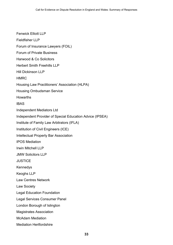Fenwick Elliott LLP Fieldfisher LLP Forum of Insurance Lawyers (FOIL) Forum of Private Business Harwood & Co Solicitors Herbert Smith Freehills LLP Hill Dickinson LLP HMRC Housing Law Practitioners' Association (HLPA) Housing Ombudsman Service Howarths IBAS Independent Mediators Ltd Independent Provider of Special Education Advice (IPSEA) Institute of Family Law Arbitrators (IFLA) Institution of Civil Engineers (ICE) Intellectual Property Bar Association IPOS Mediation Irwin Mitchell LLP JMW Solicitors LLP **JUSTICE** Kennedys Keoghs LLP Law Centres Network Law Society Legal Education Foundation Legal Services Consumer Panel London Borough of Islington Magistrates Association McAdam Mediation Mediation Hertfordshire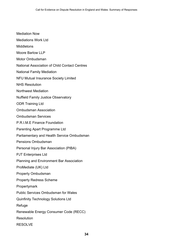- Mediation Now
- Mediations Work Ltd
- **Middletons**
- Moore Barlow LLP
- Motor Ombudsman
- National Association of Child Contact Centres
- National Family Mediation
- NFU Mutual Insurance Society Limited
- NHS Resolution
- Northwest Mediation
- Nuffield Family Justice Observatory
- ODR Training Ltd
- Ombudsman Association
- Ombudsman Services
- P.R.I.M.E Finance Foundation
- Parenting Apart Programme Ltd
- Parliamentary and Health Service Ombudsman
- Pensions Ombudsman
- Personal Injury Bar Association (PIBA)
- PJT Enterprises Ltd
- Planning and Environment Bar Association
- ProMediate (UK) Ltd
- Property Ombudsman
- Property Redress Scheme
- **Propertymark**
- Public Services Ombudsman for Wales
- Quinfinity Technology Solutions Ltd
- **Refuge**
- Renewable Energy Consumer Code (RECC)
- **Resolution**
- RESOLVE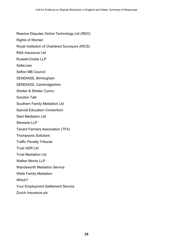Resolve Disputes Online Technology Ltd (RDO) Rights of Women Royal Institution of Chartered Surveyors (RICS) RSA Insurance Ltd Russell-Cooke LLP **SafeLives** Sefton MB Council SENDIASS, Birmingham SENDIASS, Cambridgeshire Shelter & Shelter Cymru Solution Talk Southern Family Mediation Ltd Special Education Consortium Start Mediation Ltd Stewarts LLP Tenant Farmers Association (TFA) Thompsons Solicitors Traffic Penalty Tribunal Trust ADR Ltd Trust Mediation Ltd Walker Morris LLP Wandsworth Mediation Service Wells Family Mediation Which? Your Employment Settlement Service Zurich Insurance plc